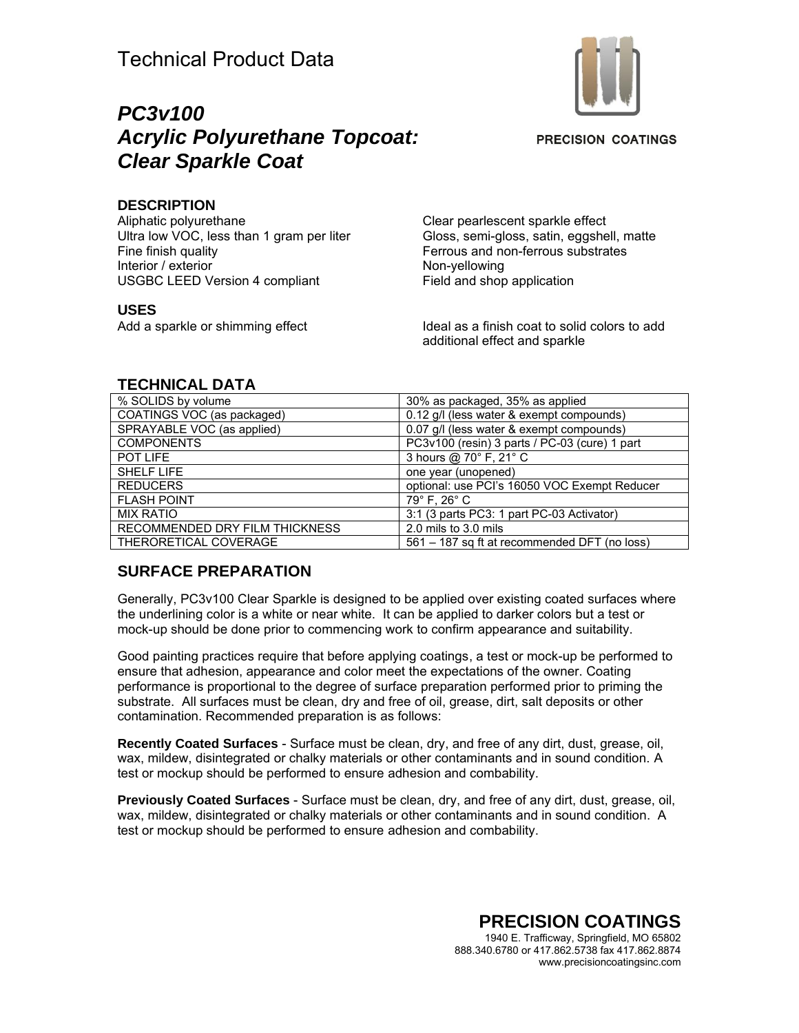# Technical Product Data



*PC3v100 Acrylic Polyurethane Topcoat: Clear Sparkle Coat*

**PRECISION COATINGS** 

#### **DESCRIPTION**

Aliphatic polyurethane Ultra low VOC, less than 1 gram per liter Fine finish quality Interior / exterior USGBC LEED Version 4 compliant

#### **USES**

Clear pearlescent sparkle effect Gloss, semi-gloss, satin, eggshell, matte Ferrous and non-ferrous substrates Non-yellowing Field and shop application

Add a sparkle or shimming effect Internal as a finish coat to solid colors to add additional effect and sparkle

### **TECHNICAL DATA**

| % SOLIDS by volume             | 30% as packaged, 35% as applied               |
|--------------------------------|-----------------------------------------------|
| COATINGS VOC (as packaged)     | 0.12 g/l (less water & exempt compounds)      |
| SPRAYABLE VOC (as applied)     | 0.07 g/l (less water & exempt compounds)      |
| <b>COMPONENTS</b>              | PC3v100 (resin) 3 parts / PC-03 (cure) 1 part |
| POT LIFE                       | 3 hours @ 70° F, 21° C                        |
| <b>SHELF LIFE</b>              | one year (unopened)                           |
| <b>REDUCERS</b>                | optional: use PCI's 16050 VOC Exempt Reducer  |
| <b>FLASH POINT</b>             | 79° F, 26° C                                  |
| <b>MIX RATIO</b>               | 3:1 (3 parts PC3: 1 part PC-03 Activator)     |
| RECOMMENDED DRY FILM THICKNESS | 2.0 mils to 3.0 mils                          |
| THERORETICAL COVERAGE          | 561 – 187 sq ft at recommended DFT (no loss)  |

## **SURFACE PREPARATION**

Generally, PC3v100 Clear Sparkle is designed to be applied over existing coated surfaces where the underlining color is a white or near white. It can be applied to darker colors but a test or mock-up should be done prior to commencing work to confirm appearance and suitability.

Good painting practices require that before applying coatings, a test or mock-up be performed to ensure that adhesion, appearance and color meet the expectations of the owner. Coating performance is proportional to the degree of surface preparation performed prior to priming the substrate. All surfaces must be clean, dry and free of oil, grease, dirt, salt deposits or other contamination. Recommended preparation is as follows:

**Recently Coated Surfaces** - Surface must be clean, dry, and free of any dirt, dust, grease, oil, wax, mildew, disintegrated or chalky materials or other contaminants and in sound condition. A test or mockup should be performed to ensure adhesion and combability.

**Previously Coated Surfaces** - Surface must be clean, dry, and free of any dirt, dust, grease, oil, wax, mildew, disintegrated or chalky materials or other contaminants and in sound condition. A test or mockup should be performed to ensure adhesion and combability.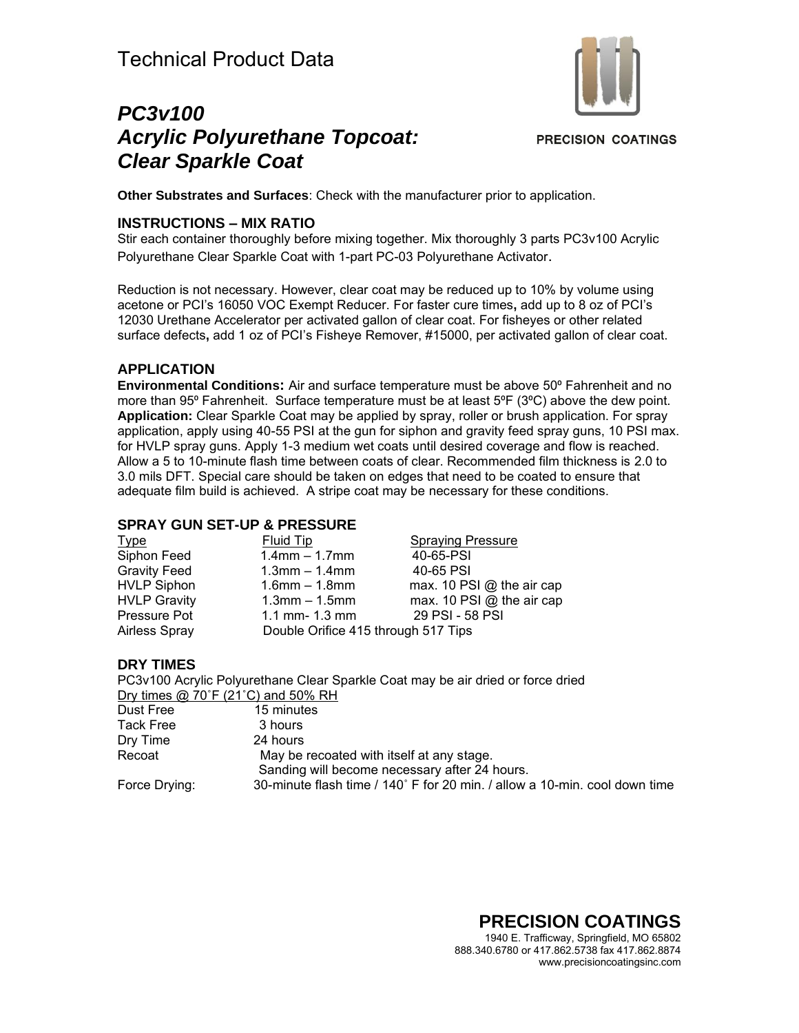# *PC3v100 Acrylic Polyurethane Topcoat: Clear Sparkle Coat*

**PRECISION COATINGS** 

**Other Substrates and Surfaces**: Check with the manufacturer prior to application.

## **INSTRUCTIONS – MIX RATIO**

Stir each container thoroughly before mixing together. Mix thoroughly 3 parts PC3v100 Acrylic Polyurethane Clear Sparkle Coat with 1-part PC-03 Polyurethane Activator.

Reduction is not necessary. However, clear coat may be reduced up to 10% by volume using acetone or PCI's 16050 VOC Exempt Reducer. For faster cure times**,** add up to 8 oz of PCI's 12030 Urethane Accelerator per activated gallon of clear coat. For fisheyes or other related surface defects**,** add 1 oz of PCI's Fisheye Remover, #15000, per activated gallon of clear coat.

### **APPLICATION**

**Environmental Conditions:** Air and surface temperature must be above 50<sup>°</sup> Fahrenheit and no more than 95 $\degree$  Fahrenheit. Surface temperature must be at least 5 $\degree$ F (3 $\degree$ C) above the dew point. **Application:** Clear Sparkle Coat may be applied by spray, roller or brush application. For spray application, apply using 40-55 PSI at the gun for siphon and gravity feed spray guns, 10 PSI max. for HVLP spray guns. Apply 1-3 medium wet coats until desired coverage and flow is reached. Allow a 5 to 10-minute flash time between coats of clear. Recommended film thickness is 2.0 to 3.0 mils DFT. Special care should be taken on edges that need to be coated to ensure that adequate film build is achieved. A stripe coat may be necessary for these conditions.

### **SPRAY GUN SET-UP & PRESSURE**

 $1.4$ mm – 1.7mm 40-65-PSI Gravity Feed  $1.3$ mm –  $1.4$ mm  $40-65$  PSI Double Orifice 415 through 517 Tips

Type Fluid Tip Spraying Pressure<br>Siphon Feed 1.4mm - 1.7mm 40-65-PSI HVLP Siphon  $1.6$ mm – 1.8mm max. 10 PSI @ the air cap  $HVLP$  Gravity 1.3mm – 1.5mm max. 10 PSI @ the air cap<br>Pressure Pot 1.1 mm- 1.3 mm 29 PSI - 58 PSI Pressure Pot 1.1 mm- 1.3 mm 29 PSI - 58 PSI<br>Airless Spray Double Orifice 415 through 517 Tips

## **DRY TIMES**

PC3v100 Acrylic Polyurethane Clear Sparkle Coat may be air dried or force dried Dry times @ 70˚F (21˚C) and 50% RH

| Dust Free     | 15 minutes                                                                 |
|---------------|----------------------------------------------------------------------------|
| Tack Free     | 3 hours                                                                    |
| Dry Time      | 24 hours                                                                   |
| Recoat        | May be recoated with itself at any stage.                                  |
|               | Sanding will become necessary after 24 hours.                              |
| Force Drying: | 30-minute flash time / 140° F for 20 min. / allow a 10-min. cool down time |

**PRECISION COATINGS** 1940 E. Trafficway, Springfield, MO 65802 888.340.6780 or 417.862.5738 fax 417.862.8874 www.precisioncoatingsinc.com